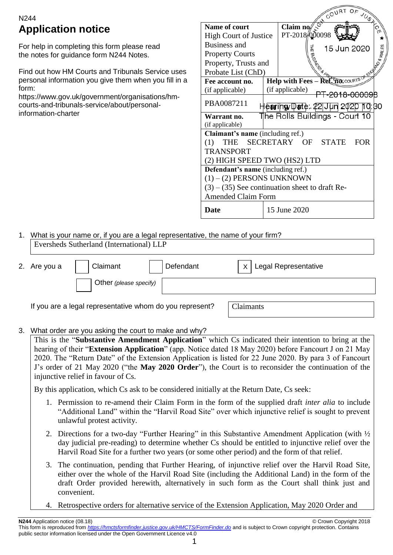# N244 **Application notice**

For help in completing this form please read the notes for guidance form N244 Notes.

Find out how HM Courts and Tribunals Service uses personal information you give them when you fill in a form:

https://www.gov.uk/government/organisations/hmcourts-and-tribunals-service/about/personalinformation-charter

|                                                  |  |                 |               | GL <sub>COUNIUF</sub>                         | JUST CIN   |
|--------------------------------------------------|--|-----------------|---------------|-----------------------------------------------|------------|
| Name of court                                    |  | Claim no        |               |                                               |            |
| <b>High Court of Justice</b>                     |  |                 | PT-2018 00098 |                                               |            |
| <b>Business and</b>                              |  |                 |               | 15 Jun 2020                                   |            |
| <b>Property Courts</b>                           |  |                 |               |                                               |            |
| Property, Trusts and                             |  |                 |               |                                               |            |
| Probate List (ChD)                               |  |                 |               |                                               |            |
| Fee account no.                                  |  |                 |               | Help with $\text{Fees} - \text{Re} \xi$ flows |            |
| (if applicable)                                  |  | (if applicable) |               |                                               |            |
| PBA0087211                                       |  |                 |               | HeagringyDante: 22 Jun 2020                   | 10:30      |
| Warrant no.                                      |  |                 |               | ∏he Rolls Buildings - Court 10                |            |
| (if applicable)                                  |  |                 |               |                                               |            |
| Claimant's name (including ref.)                 |  |                 |               |                                               |            |
| THE SECRETARY OF STATE<br>(1)                    |  |                 |               |                                               | <b>FOR</b> |
| TRANSPORT                                        |  |                 |               |                                               |            |
| (2) HIGH SPEED TWO (HS2) LTD                     |  |                 |               |                                               |            |
| Defendant's name (including ref.)                |  |                 |               |                                               |            |
| $(1) - (2)$ PERSONS UNKNOWN                      |  |                 |               |                                               |            |
| $(3) - (35)$ See continuation sheet to draft Re- |  |                 |               |                                               |            |
| <b>Amended Claim Form</b>                        |  |                 |               |                                               |            |
| <b>Date</b>                                      |  | 15 June 2020    |               |                                               |            |

## 1. What is your name or, if you are a legal representative, the name of your firm? Eversheds Sutherland (International) LLP

| 2. Are you a | Claimant<br>Defendant                                    | $x$   Legal Representative |
|--------------|----------------------------------------------------------|----------------------------|
|              | Other (please specify)                                   |                            |
|              | If you are a legal representative whom do you represent? | Claimants                  |

## 3. What order are you asking the court to make and why?

This is the "**Substantive Amendment Application**" which Cs indicated their intention to bring at the hearing of their "**Extension Application**" (app. Notice dated 18 May 2020) before Fancourt J on 21 May 2020. The "Return Date" of the Extension Application is listed for 22 June 2020. By para 3 of Fancourt J's order of 21 May 2020 ("the **May 2020 Order**"), the Court is to reconsider the continuation of the injunctive relief in favour of Cs.

By this application, which Cs ask to be considered initially at the Return Date, Cs seek:

- 1. Permission to re-amend their Claim Form in the form of the supplied draft *inter alia* to include "Additional Land" within the "Harvil Road Site" over which injunctive relief is sought to prevent unlawful protest activity.
- 2. Directions for a two-day "Further Hearing" in this Substantive Amendment Application (with ½ day judicial pre-reading) to determine whether Cs should be entitled to injunctive relief over the Harvil Road Site for a further two years (or some other period) and the form of that relief.
- 3. The continuation, pending that Further Hearing, of injunctive relief over the Harvil Road Site, either over the whole of the Harvil Road Site (including the Additional Land) in the form of the draft Order provided herewith, alternatively in such form as the Court shall think just and convenient.
- Retrospective orders for alternative service of the Extension Application, May 2020 Order and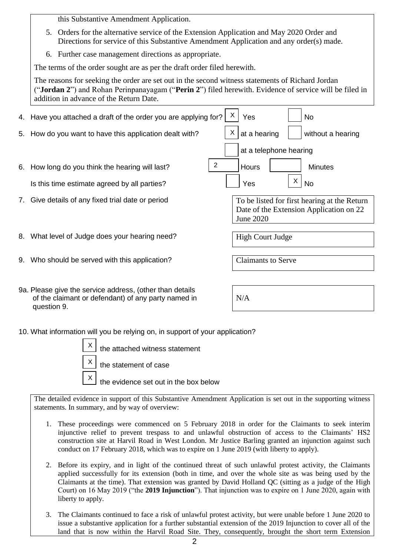this Substantive Amendment Application.

- 5. Orders for the alternative service of the Extension Application and May 2020 Order and Directions for service of this Substantive Amendment Application and any order(s) made.
- 6. Further case management directions as appropriate.

The terms of the order sought are as per the draft order filed herewith.

The reasons for seeking the order are set out in the second witness statements of Richard Jordan ("**Jordan 2**") and Rohan Perinpanayagam ("**Perin 2**") filed herewith. Evidence of service will be filed in addition in advance of the Return Date.

|    | 4. Have you attached a draft of the order you are applying for?   | X | Yes                       |   | No                                                                                      |
|----|-------------------------------------------------------------------|---|---------------------------|---|-----------------------------------------------------------------------------------------|
|    | 5. How do you want to have this application dealt with?           | X | at a hearing              |   | without a hearing                                                                       |
|    |                                                                   |   | at a telephone hearing    |   |                                                                                         |
|    | $\overline{2}$<br>6. How long do you think the hearing will last? |   | <b>Hours</b>              |   | <b>Minutes</b>                                                                          |
|    | Is this time estimate agreed by all parties?                      |   | Yes                       | X | <b>No</b>                                                                               |
| 7. | Give details of any fixed trial date or period                    |   | June 2020                 |   | To be listed for first hearing at the Return<br>Date of the Extension Application on 22 |
|    |                                                                   |   |                           |   |                                                                                         |
|    | 8. What level of Judge does your hearing need?                    |   | High Court Judge          |   |                                                                                         |
| 9. | Who should be served with this application?                       |   | <b>Claimants to Serve</b> |   |                                                                                         |
|    |                                                                   |   |                           |   |                                                                                         |
|    | an Planse give the service address (other than details)           |   |                           |   |                                                                                         |

9a. Please give the service address, (other than details of the claimant or defendant) of any party named in question 9.

10. What information will you be relying on, in support of your application?

| $\vert x \vert$ the attached witness statement        |
|-------------------------------------------------------|
| $\vert x \vert$ the statement of case                 |
| $\vert x \vert$ the evidence set out in the box below |

The detailed evidence in support of this Substantive Amendment Application is set out in the supporting witness statements. In summary, and by way of overview:

- 1. These proceedings were commenced on 5 February 2018 in order for the Claimants to seek interim injunctive relief to prevent trespass to and unlawful obstruction of access to the Claimants' HS2 construction site at Harvil Road in West London. Mr Justice Barling granted an injunction against such conduct on 17 February 2018, which was to expire on 1 June 2019 (with liberty to apply).
- 2. Before its expiry, and in light of the continued threat of such unlawful protest activity, the Claimants applied successfully for its extension (both in time, and over the whole site as was being used by the Claimants at the time). That extension was granted by David Holland QC (sitting as a judge of the High Court) on 16 May 2019 ("the **2019 Injunction**"). That injunction was to expire on 1 June 2020, again with liberty to apply.
- 3. The Claimants continued to face a risk of unlawful protest activity, but were unable before 1 June 2020 to issue a substantive application for a further substantial extension of the 2019 Injunction to cover all of the land that is now within the Harvil Road Site. They, consequently, brought the short term Extension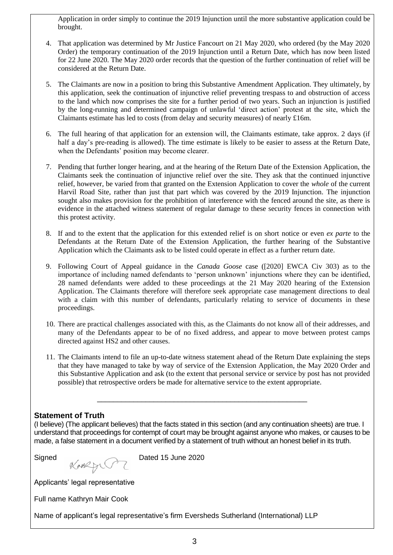Application in order simply to continue the 2019 Injunction until the more substantive application could be brought.

- 4. That application was determined by Mr Justice Fancourt on 21 May 2020, who ordered (by the May 2020 Order) the temporary continuation of the 2019 Injunction until a Return Date, which has now been listed for 22 June 2020. The May 2020 order records that the question of the further continuation of relief will be considered at the Return Date.
- 5. The Claimants are now in a position to bring this Substantive Amendment Application. They ultimately, by this application, seek the continuation of injunctive relief preventing trespass to and obstruction of access to the land which now comprises the site for a further period of two years. Such an injunction is justified by the long-running and determined campaign of unlawful 'direct action' protest at the site, which the Claimants estimate has led to costs (from delay and security measures) of nearly £16m.
- 6. The full hearing of that application for an extension will, the Claimants estimate, take approx. 2 days (if half a day's pre-reading is allowed). The time estimate is likely to be easier to assess at the Return Date, when the Defendants' position may become clearer.
- 7. Pending that further longer hearing, and at the hearing of the Return Date of the Extension Application, the Claimants seek the continuation of injunctive relief over the site. They ask that the continued injunctive relief, however, be varied from that granted on the Extension Application to cover the *whole* of the current Harvil Road Site, rather than just that part which was covered by the 2019 Injunction. The injunction sought also makes provision for the prohibition of interference with the fenced around the site, as there is evidence in the attached witness statement of regular damage to these security fences in connection with this protest activity.
- 8. If and to the extent that the application for this extended relief is on short notice or even *ex parte* to the Defendants at the Return Date of the Extension Application, the further hearing of the Substantive Application which the Claimants ask to be listed could operate in effect as a further return date.
- 9. Following Court of Appeal guidance in the *Canada Goose* case ([2020] EWCA Civ 303) as to the importance of including named defendants to 'person unknown' injunctions where they can be identified, 28 named defendants were added to these proceedings at the 21 May 2020 hearing of the Extension Application. The Claimants therefore will therefore seek appropriate case management directions to deal with a claim with this number of defendants, particularly relating to service of documents in these proceedings.
- 10. There are practical challenges associated with this, as the Claimants do not know all of their addresses, and many of the Defendants appear to be of no fixed address, and appear to move between protest camps directed against HS2 and other causes.
- 11. The Claimants intend to file an up-to-date witness statement ahead of the Return Date explaining the steps that they have managed to take by way of service of the Extension Application, the May 2020 Order and this Substantive Application and ask (to the extent that personal service or service by post has not provided possible) that retrospective orders be made for alternative service to the extent appropriate.

## **Statement of Truth**

(I believe) (The applicant believes) that the facts stated in this section (and any continuation sheets) are true. I understand that proceedings for contempt of court may be brought against anyone who makes, or causes to be made, a false statement in a document verified by a statement of truth without an honest belief in its truth.

\_\_\_\_\_\_\_\_\_\_\_\_\_\_\_\_\_\_\_\_\_\_\_\_\_\_\_\_\_\_\_\_\_\_\_\_\_\_\_\_\_\_\_\_\_\_\_\_\_\_\_\_

Signed **K** A Dated 15 June 2020

Applicants' legal representative

Full name Kathryn Mair Cook

Name of applicant's legal representative's firm Eversheds Sutherland (International) LLP